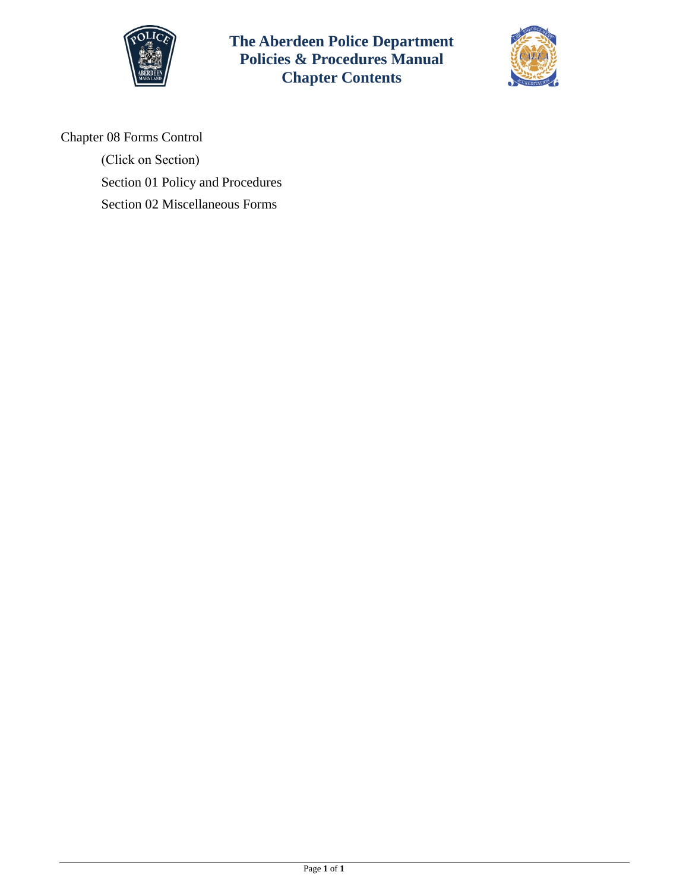

**The Aberdeen Police Department Policies & Procedures Manual Chapter Contents**



Chapter 08 Forms Control

(Click on Section) Section [01 Policy and Procedures](#page-1-0)  [Section 02 Miscellaneous Forms](#page-3-0)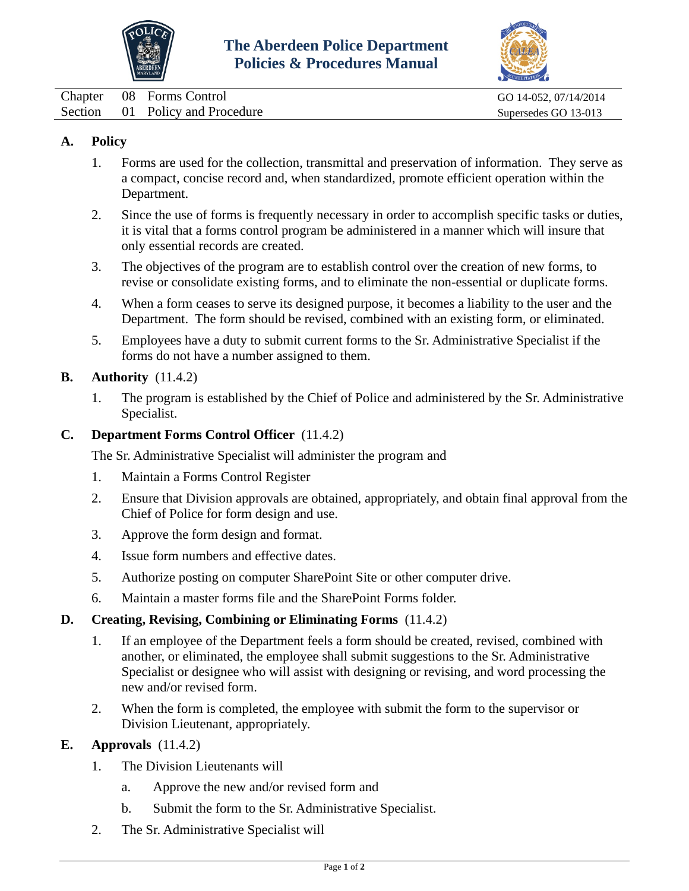



<span id="page-1-0"></span>

|  | Chapter 08 Forms Control        | GO 14-052, 07/14/2014 |
|--|---------------------------------|-----------------------|
|  | Section 01 Policy and Procedure | Supersedes GO 13-013  |

## **A. Policy**

- 1. Forms are used for the collection, transmittal and preservation of information. They serve as a compact, concise record and, when standardized, promote efficient operation within the Department.
- 2. Since the use of forms is frequently necessary in order to accomplish specific tasks or duties, it is vital that a forms control program be administered in a manner which will insure that only essential records are created.
- 3. The objectives of the program are to establish control over the creation of new forms, to revise or consolidate existing forms, and to eliminate the non-essential or duplicate forms.
- 4. When a form ceases to serve its designed purpose, it becomes a liability to the user and the Department. The form should be revised, combined with an existing form, or eliminated.
- 5. Employees have a duty to submit current forms to the Sr. Administrative Specialist if the forms do not have a number assigned to them.

#### **B. Authority** (11.4.2)

1. The program is established by the Chief of Police and administered by the Sr. Administrative Specialist.

#### **C. Department Forms Control Officer** (11.4.2)

The Sr. Administrative Specialist will administer the program and

- 1. Maintain a Forms Control Register
- 2. Ensure that Division approvals are obtained, appropriately, and obtain final approval from the Chief of Police for form design and use.
- 3. Approve the form design and format.
- 4. Issue form numbers and effective dates.
- 5. Authorize posting on computer SharePoint Site or other computer drive.
- 6. Maintain a master forms file and the SharePoint Forms folder.

### **D. Creating, Revising, Combining or Eliminating Forms** (11.4.2)

- 1. If an employee of the Department feels a form should be created, revised, combined with another, or eliminated, the employee shall submit suggestions to the Sr. Administrative Specialist or designee who will assist with designing or revising, and word processing the new and/or revised form.
- 2. When the form is completed, the employee with submit the form to the supervisor or Division Lieutenant, appropriately.

#### **E. Approvals** (11.4.2)

- 1. The Division Lieutenants will
	- a. Approve the new and/or revised form and
	- b. Submit the form to the Sr. Administrative Specialist.
- 2. The Sr. Administrative Specialist will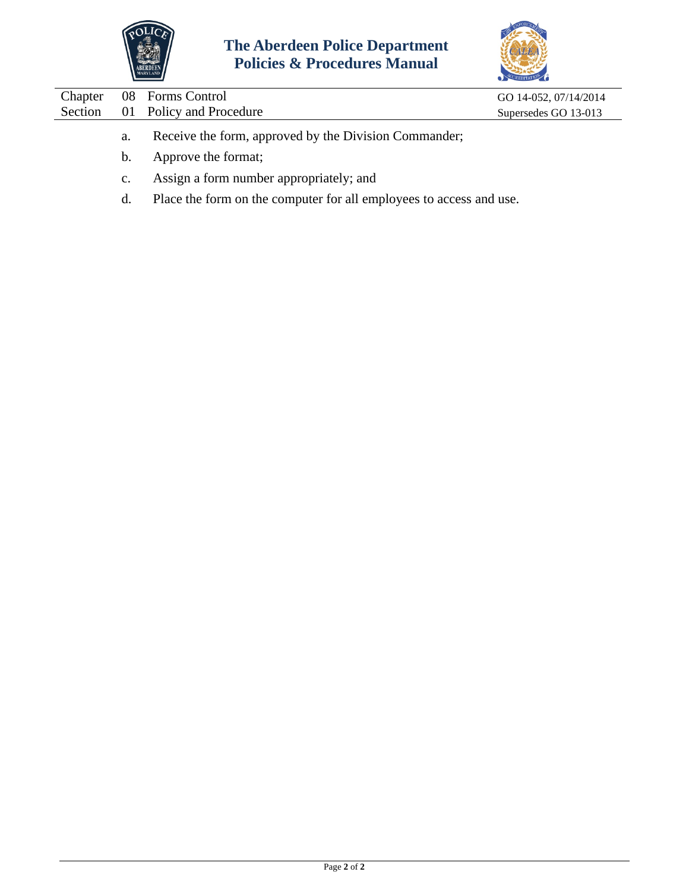



| Chapter |         | 08 Forms Control                                      | GO 14-052, 07/14/2014 |
|---------|---------|-------------------------------------------------------|-----------------------|
| Section |         | 01 Policy and Procedure                               | Supersedes GO 13-013  |
|         | a.      | Receive the form, approved by the Division Commander; |                       |
|         | $b_{1}$ | Approve the format;                                   |                       |
|         |         |                                                       |                       |

- c. Assign a form number appropriately; and
- d. Place the form on the computer for all employees to access and use.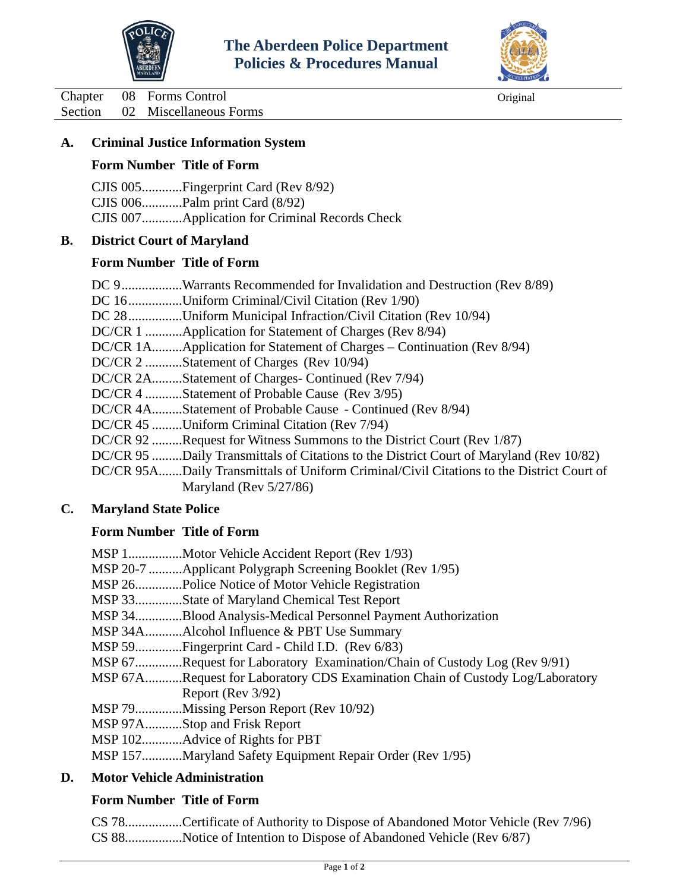



<span id="page-3-0"></span>Chapter 08 Forms Control Original Section 02 Miscellaneous Forms

### **A. Criminal Justice Information System**

### **Form Number Title of Form**

CJIS 005............Fingerprint Card (Rev 8/92) CJIS 006............Palm print Card (8/92) CJIS 007............Application for Criminal Records Check

# **B. District Court of Maryland**

### **Form Number Title of Form**

| DC 9Warrants Recommended for Invalidation and Destruction (Rev 8/89)                     |
|------------------------------------------------------------------------------------------|
| DC 16Uniform Criminal/Civil Citation (Rev 1/90)                                          |
| DC 28Uniform Municipal Infraction/Civil Citation (Rev 10/94)                             |
| DC/CR 1 Application for Statement of Charges (Rev 8/94)                                  |
| DC/CR 1AApplication for Statement of Charges – Continuation (Rev 8/94)                   |
| DC/CR 2 Statement of Charges (Rev 10/94)                                                 |
| DC/CR 2AStatement of Charges- Continued (Rev 7/94)                                       |
| DC/CR 4 Statement of Probable Cause (Rev 3/95)                                           |
| DC/CR 4AStatement of Probable Cause - Continued (Rev 8/94)                               |
| DC/CR 45 Uniform Criminal Citation (Rev 7/94)                                            |
| DC/CR 92 Request for Witness Summons to the District Court (Rev 1/87)                    |
| DC/CR 95 Daily Transmittals of Citations to the District Court of Maryland (Rev 10/82)   |
| DC/CR 95ADaily Transmittals of Uniform Criminal/Civil Citations to the District Court of |
| Maryland (Rev $5/27/86$ )                                                                |

### **C. Maryland State Police**

### **Form Number Title of Form**

| MSP 1   | Motor Vehicle Accident Report (Rev 1/93)                               |
|---------|------------------------------------------------------------------------|
|         | MSP 20-7 Applicant Polygraph Screening Booklet (Rev 1/95)              |
| MSP 26  | Police Notice of Motor Vehicle Registration.                           |
| MSP 33  | State of Maryland Chemical Test Report                                 |
| MSP 34  | Blood Analysis-Medical Personnel Payment Authorization                 |
|         | MSP 34AAlcohol Influence & PBT Use Summary                             |
|         | MSP 59Fingerprint Card - Child I.D. (Rev 6/83)                         |
| MSP 67  | .Request for Laboratory Examination/Chain of Custody Log (Rev 9/91)    |
| MSP 67A | Request for Laboratory CDS Examination Chain of Custody Log/Laboratory |
|         | Report (Rev 3/92)                                                      |
| MSP 79  | Missing Person Report (Rev 10/92).                                     |
|         | MSP 97AStop and Frisk Report                                           |
| MSP 102 | Advice of Rights for PBT                                               |
| MSP 157 | Maryland Safety Equipment Repair Order (Rev 1/95).                     |
|         |                                                                        |

### **D. Motor Vehicle Administration**

### **Form Number Title of Form**

CS 78.................Certificate of Authority to Dispose of Abandoned Motor Vehicle (Rev 7/96) CS 88.................Notice of Intention to Dispose of Abandoned Vehicle (Rev 6/87)